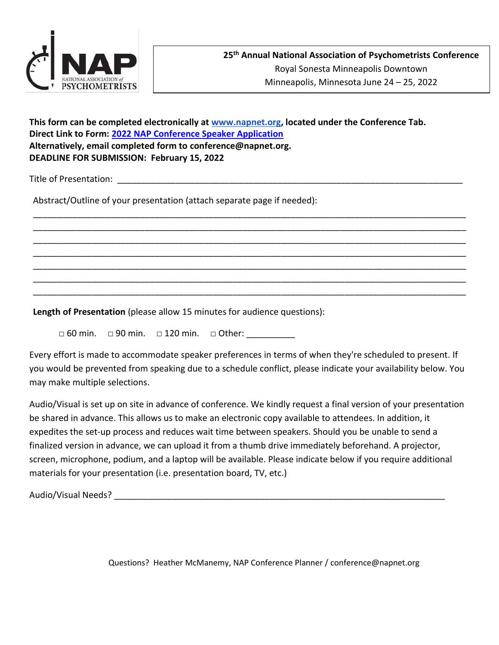

**This form can be completed electronically at [www.napnet.org,](http://www.napnet.org/) located under the Conference Tab. Direct Link to Form: 2022 [NAP Conference Speaker Application](mailto:2018%20NAP%20Conference%20Speaker%20Application) Alternatively, email completed form to conference@napnet.org. DEADLINE FOR SUBMISSION: February 15, 2022**

Title of Presentation:

Abstract/Outline of your presentation (attach separate page if needed):

**Length of Presentation** (please allow 15 minutes for audience questions):

□ 60 min. □ 90 min. □ 120 min. □ Other:

Every effort is made to accommodate speaker preferences in terms of when they're scheduled to present. If you would be prevented from speaking due to a schedule conflict, please indicate your availability below. You may make multiple selections.

\_\_\_\_\_\_\_\_\_\_\_\_\_\_\_\_\_\_\_\_\_\_\_\_\_\_\_\_\_\_\_\_\_\_\_\_\_\_\_\_\_\_\_\_\_\_\_\_\_\_\_\_\_\_\_\_\_\_\_\_\_\_\_\_\_\_\_\_\_\_\_\_\_\_\_\_\_\_\_\_\_\_\_\_\_\_\_\_\_ \_\_\_\_\_\_\_\_\_\_\_\_\_\_\_\_\_\_\_\_\_\_\_\_\_\_\_\_\_\_\_\_\_\_\_\_\_\_\_\_\_\_\_\_\_\_\_\_\_\_\_\_\_\_\_\_\_\_\_\_\_\_\_\_\_\_\_\_\_\_\_\_\_\_\_\_\_\_\_\_\_\_\_\_\_\_\_\_\_ \_\_\_\_\_\_\_\_\_\_\_\_\_\_\_\_\_\_\_\_\_\_\_\_\_\_\_\_\_\_\_\_\_\_\_\_\_\_\_\_\_\_\_\_\_\_\_\_\_\_\_\_\_\_\_\_\_\_\_\_\_\_\_\_\_\_\_\_\_\_\_\_\_\_\_\_\_\_\_\_\_\_\_\_\_\_\_\_\_ \_\_\_\_\_\_\_\_\_\_\_\_\_\_\_\_\_\_\_\_\_\_\_\_\_\_\_\_\_\_\_\_\_\_\_\_\_\_\_\_\_\_\_\_\_\_\_\_\_\_\_\_\_\_\_\_\_\_\_\_\_\_\_\_\_\_\_\_\_\_\_\_\_\_\_\_\_\_\_\_\_\_\_\_\_\_\_\_\_ \_\_\_\_\_\_\_\_\_\_\_\_\_\_\_\_\_\_\_\_\_\_\_\_\_\_\_\_\_\_\_\_\_\_\_\_\_\_\_\_\_\_\_\_\_\_\_\_\_\_\_\_\_\_\_\_\_\_\_\_\_\_\_\_\_\_\_\_\_\_\_\_\_\_\_\_\_\_\_\_\_\_\_\_\_\_\_\_\_ \_\_\_\_\_\_\_\_\_\_\_\_\_\_\_\_\_\_\_\_\_\_\_\_\_\_\_\_\_\_\_\_\_\_\_\_\_\_\_\_\_\_\_\_\_\_\_\_\_\_\_\_\_\_\_\_\_\_\_\_\_\_\_\_\_\_\_\_\_\_\_\_\_\_\_\_\_\_\_\_\_\_\_\_\_\_\_\_\_ \_\_\_\_\_\_\_\_\_\_\_\_\_\_\_\_\_\_\_\_\_\_\_\_\_\_\_\_\_\_\_\_\_\_\_\_\_\_\_\_\_\_\_\_\_\_\_\_\_\_\_\_\_\_\_\_\_\_\_\_\_\_\_\_\_\_\_\_\_\_\_\_\_\_\_\_\_\_\_\_\_\_\_\_\_\_\_\_\_

Audio/Visual is set up on site in advance of conference. We kindly request a final version of your presentation be shared in advance. This allows us to make an electronic copy available to attendees. In addition, it expedites the set-up process and reduces wait time between speakers. Should you be unable to send a finalized version in advance, we can upload it from a thumb drive immediately beforehand. A projector, screen, microphone, podium, and a laptop will be available. Please indicate below if you require additional materials for your presentation (i.e. presentation board, TV, etc.)

Audio/Visual Needs? \_\_\_\_\_\_\_\_\_\_\_\_\_\_\_\_\_\_\_\_\_\_\_\_\_\_\_\_\_\_\_\_\_\_\_\_\_\_\_\_\_\_\_\_\_\_\_\_\_\_\_\_\_\_\_\_\_\_\_\_\_\_\_\_\_\_\_\_

Questions? Heather McManemy, NAP Conference Planner / conference@napnet.org